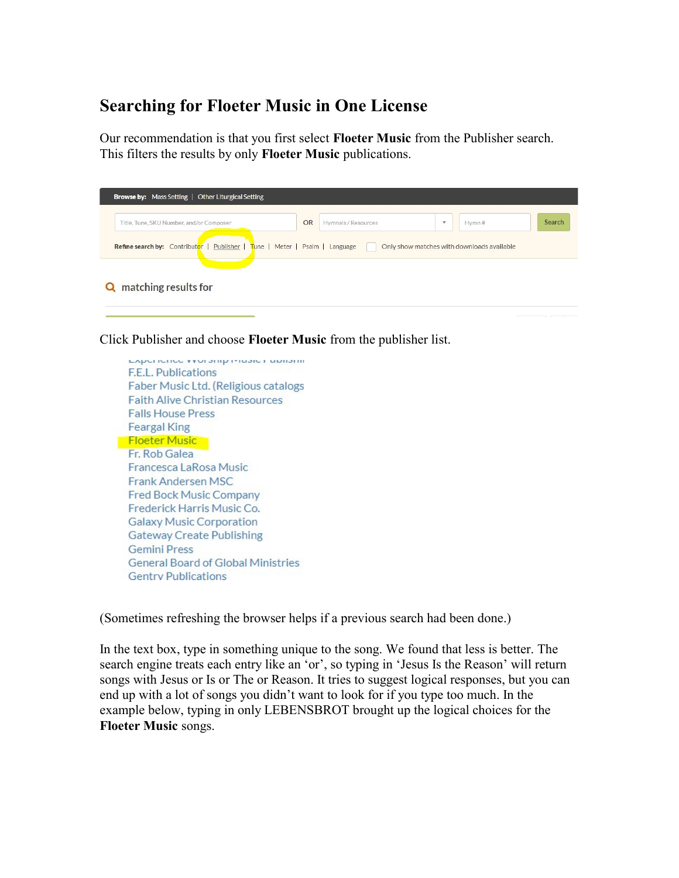## Searching for Floeter Music in One License

Our recommendation is that you first select Floeter Music from the Publisher search. This filters the results by only Floeter Music publications.

| Title, Tune, SKU Number, and/or Composer | <b>OR</b> | Hymnals / Resources | $\mathbf{v}$ | Hvmn# | Search |
|------------------------------------------|-----------|---------------------|--------------|-------|--------|
|------------------------------------------|-----------|---------------------|--------------|-------|--------|

Click Publisher and choose Floeter Music from the publisher list.

Experience vironamp inteater donami F.E.L. Publications Faber Music Ltd. (Religious catalogs **Faith Alive Christian Resources Falls House Press Feargal King** Floeter Music Fr. Rob Galea Francesca LaRosa Music Frank Andersen MSC Fred Bock Music Company Frederick Harris Music Co. **Galaxy Music Corporation Gateway Create Publishing Gemini Press General Board of Global Ministries Gentry Publications** 

(Sometimes refreshing the browser helps if a previous search had been done.)

In the text box, type in something unique to the song. We found that less is better. The search engine treats each entry like an 'or', so typing in 'Jesus Is the Reason' will return songs with Jesus or Is or The or Reason. It tries to suggest logical responses, but you can end up with a lot of songs you didn't want to look for if you type too much. In the example below, typing in only LEBENSBROT brought up the logical choices for the Floeter Music songs.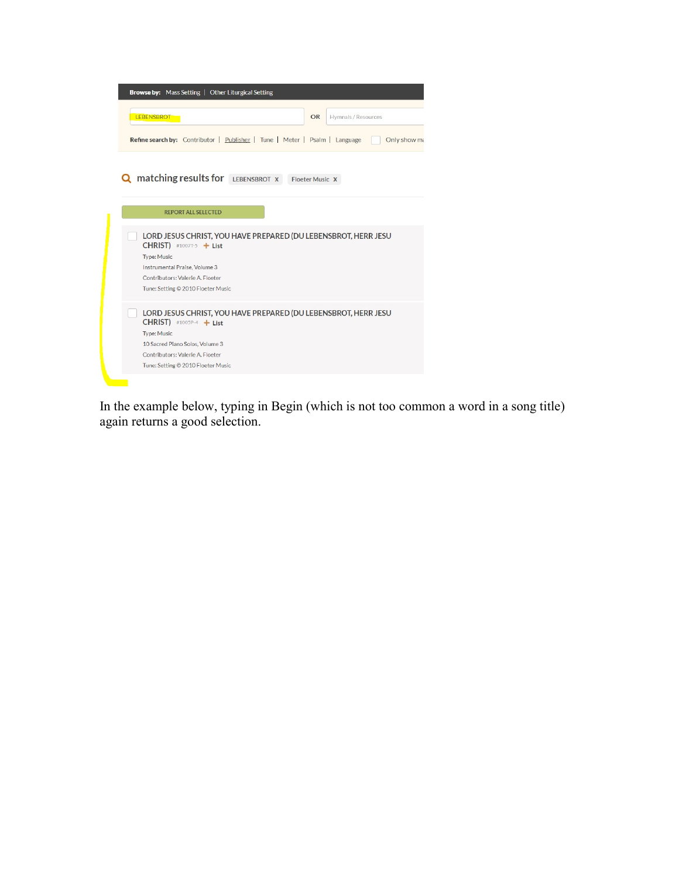

| <b>REPORT ALL SELECTED</b>                                                                  |
|---------------------------------------------------------------------------------------------|
| LORD JESUS CHRIST, YOU HAVE PREPARED (DU LEBENSBROT, HERR JESU<br>CHRIST) #10077-5 $+$ List |
| Type: Music                                                                                 |
| Instrumental Praise, Volume 3                                                               |
| Contributors: Valerie A. Floeter                                                            |
| Tune: Setting © 2010 Floeter Music                                                          |
| LORD JESUS CHRIST, YOU HAVE PREPARED (DU LEBENSBROT, HERR JESU<br>$CHRIST)$ #1005P-4 + List |
| <b>Type: Music</b>                                                                          |
| 10 Sacred Piano Solos, Volume 3                                                             |
| Contributors: Valerie A. Floeter                                                            |
| Tune: Setting © 2010 Floeter Music                                                          |

In the example below, typing in Begin (which is not too common a word in a song title) again returns a good selection.